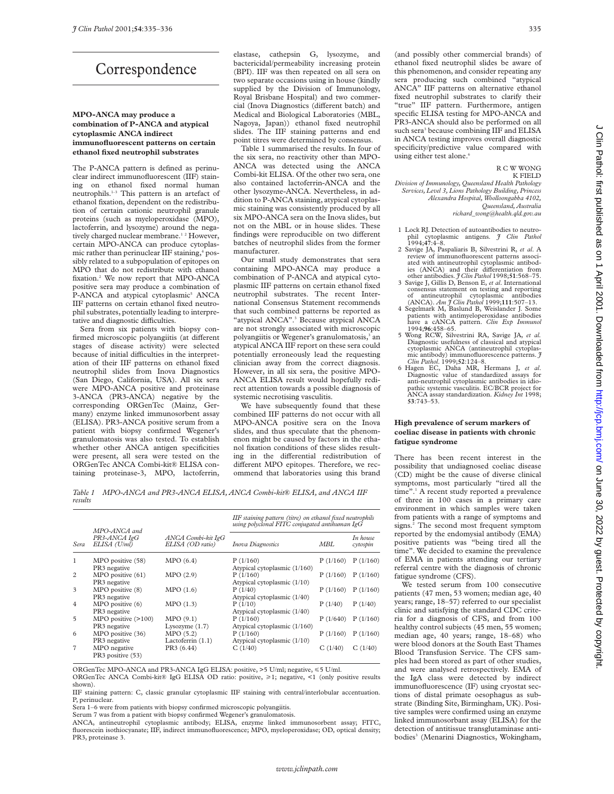# Correspondence

### **MPO-ANCA may produce a combination of P-ANCA and atypical cytoplasmic ANCA indirect immunofluorescent patterns on certain ethanol fixed neutrophil substrates**

The P-ANCA pattern is defined as perinuclear indirect immunofluorescent (IIF) staining on ethanol fixed normal human neutrophils.1–3 This pattern is an artefact of ethanol fixation, dependent on the redistribution of certain cationic neutrophil granule proteins (such as myeloperoxidase (MPO), lactoferrin, and lysozyme) around the negatively charged nuclear membrane.<sup>12</sup> However, certain MPO-ANCA can produce cytoplasmic rather than perinuclear IIF staining,<sup>4</sup> possibly related to a subpopulation of epitopes on MPO that do not redistribute with ethanol fixation.2 We now report that MPO-ANCA positive sera may produce a combination of P-ANCA and atypical cytoplasmic<sup>5</sup> ANCA IIF patterns on certain ethanol fixed neutrophil substrates, potentially leading to interpretative and diagnostic difficulties.

Sera from six patients with biopsy confirmed microscopic polyangiitis (at different stages of disease activity) were selected because of initial difficulties in the interpretation of their IIF patterns on ethanol fixed neutrophil slides from Inova Diagnostics (San Diego, California, USA). All six sera were MPO-ANCA positive and proteinase 3-ANCA (PR3-ANCA) negative by the corresponding ORGenTec (Mainz, Germany) enzyme linked immunosorbent assay (ELISA). PR3-ANCA positive serum from a patient with biopsy confirmed Wegener's granulomatosis was also tested. To establish whether other ANCA antigen specificities were present, all sera were tested on the ORGenTec ANCA Combi-kit® ELISA containing proteinase-3, MPO, lactoferrin, elastase, cathepsin G, lysozyme, and bactericidal/permeability increasing protein (BPI). IIF was then repeated on all sera on two separate occasions using in house (kindly supplied by the Division of Immunology, Royal Brisbane Hospital) and two commercial (Inova Diagnostics (different batch) and Medical and Biological Laboratories (MBL, Nagoya, Japan)) ethanol fixed neutrophil slides. The IIF staining patterns and end point titres were determined by consensus.

Table 1 summarised the results. In four of the six sera, no reactivity other than MPO-ANCA was detected using the ANCA Combi-kit ELISA. Of the other two sera, one also contained lactoferrin-ANCA and the other lysozyme-ANCA. Nevertheless, in addition to P-ANCA staining, atypical cytoplasmic staining was consistently produced by all six MPO-ANCA sera on the Inova slides, but not on the MBL or in house slides. These findings were reproducible on two different batches of neutrophil slides from the former manufacturer.

Our small study demonstrates that sera containing MPO-ANCA may produce a combination of P-ANCA and atypical cytoplasmic IIF patterns on certain ethanol fixed neutrophil substrates. The recent International Consensus Statement recommends that such combined patterns be reported as "atypical ANCA".<sup>3</sup> Because atypical ANCA are not strongly associated with microscopic polyangiitis or Wegener's granulomatosis,<sup>3</sup> an atypical ANCA IIF report on these sera could potentially erroneously lead the requesting clinician away from the correct diagnosis. However, in all six sera, the positive MPO-ANCA ELISA result would hopefully redirect attention towards a possible diagnosis of systemic necrotising vasculitis.

We have subsequently found that these combined IIF patterns do not occur with all MPO-ANCA positive sera on the Inova slides, and thus speculate that the phenomenon might be caused by factors in the ethanol fixation conditions of these slides resulting in the differential redistribution of different MPO epitopes. Therefore, we recommend that laboratories using this brand

*Table 1 MPO-ANCA and PR3-ANCA ELISA, ANCA Combi-kit® ELISA, and ANCA IIF results*

| Sera           | MPO-ANCA and<br>PR3-ANCA IgG<br>ELISA (U/ml)        | ANCA Combi-kit IgG<br>ELISA (OD ratio) | IIF staining pattern (titre) on ethanol fixed neutrophils<br>using polyclonal FITC conjugated antihuman IgG |          |                       |
|----------------|-----------------------------------------------------|----------------------------------------|-------------------------------------------------------------------------------------------------------------|----------|-----------------------|
|                |                                                     |                                        | <b>Inova Diagnostics</b>                                                                                    | MBL      | In house<br>cytospin  |
| 1              | MPO positive (58)<br>PR <sub>3</sub> negative       | MPO(6.4)                               | P(1/160)<br>Atypical cytoplasmic (1/160)                                                                    |          | $P(1/160)$ $P(1/160)$ |
| 2              | MPO positive (61)<br>PR <sub>3</sub> negative       | MPO(2.9)                               | P(1/160)<br>Atypical cytoplasmic (1/10)                                                                     |          | $P(1/160)$ $P(1/160)$ |
| 3              | MPO positive (8)<br>PR3 negative                    | MPO(1.6)                               | P(1/40)<br>Atypical cytoplasmic (1/40)                                                                      | P(1/160) | P(1/160)              |
| $\overline{4}$ | MPO positive (6)<br>PR <sub>3</sub> negative        | MPO(1.3)                               | P(1/10)<br>Atypical cytoplasmic (1/40)                                                                      | P(1/40)  | P(1/40)               |
| 5              | $MPO$ positive $(>100)$<br>PR <sub>3</sub> negative | MPO(9.1)<br>Lysozyme $(1.7)$           | P(1/160)<br>Atypical cytoplasmic (1/160)                                                                    |          | $P(1/640)$ $P(1/160)$ |
| 6              | MPO positive (36)<br>PR3 negative                   | MPO(5.2)<br>Lactoferrin $(1.1)$        | P(1/160)<br>Atypical cytoplasmic (1/10)                                                                     | P(1/160) | P(1/160)              |
| $\overline{7}$ | MPO negative<br>PR3 positive (53)                   | PR3 (6.44)                             | C(1/40)                                                                                                     | C(1/40)  | C(1/40)               |

ORGenTec MPO-ANCA and PR3-ANCA IgG ELISA: positive, >5 U/ml; negative, <5 U/ml. ORGenTec ANCA Combi-kit® IgG ELISA OD ratio: positive, >1; negative, <1 (only positive results

shown). IIF staining pattern: C, classic granular cytoplasmic IIF staining with central/interlobular accentuation.

P, perinuclear.

Sera 1–6 were from patients with biopsy confirmed microscopic polyangiitis.

Serum 7 was from a patient with biopsy confirmed Wegener's granulomatosis.

ANCA, antineutrophil cytoplasmic antibody; ELISA, enzyme linked immunosorbent assay; FITC, fluorescein isothiocyanate; IIF, indirect immunofluorescence; MPO, myeloperoxidase; OD, optical density; PR3, proteinase 3.

(and possibly other commercial brands) of ethanol fixed neutrophil slides be aware of this phenomenon, and consider repeating any sera producing such combined "atypical ANCA" IIF patterns on alternative ethanol fixed neutrophil substrates to clarify their "true" IIF pattern. Furthermore, antigen specific ELISA testing for MPO-ANCA and PR3-ANCA should also be performed on all such sera<sup>3</sup> because combining IIF and ELISA in ANCA testing improves overall diagnostic specificity/predictive value compared with using either test alone.<sup>6</sup>

> R C W WONG K FIELD

*Division of Immunology, Queensland Health Pathology Services, Level 3, Lions Pathology Building, Princess Alexandra Hospital, Woolloongabba 4102, Queensland, Australia*

*richard\_wong@health.qld.gov.au*

- 1 Lock RJ. Detection of autoantibodies to neutrophil cytoplasmic antigens. *J Clin Pathol* 1994;**47**:4–8.
- 2 Savige JA, Paspaliaris B, Silvestrini R, *et al*. A review of immunofluorescent patterns associated with antineutrophil cytoplasmic antibod-<br>ies (ANCA) and their differentiation from
- 3 Savige J, Gillis D, Benson E, *et al*. International consensus statement on testing and reporting of antineutrophil cytoplasmic antibodies (ANCA). *Am J Clin Pathol* 1999;**111**:507–13.
- 4 Segelmark M, Baslund B, Weislander J. Some patients with antimyeloperoxidase antibodies have a cANCA pattern. *Clin Exp Immunol*
- 5 Wong RCW, Silvestrini RA, Savige JA, et al. Diagnostic usefulness of classical and atypical cytoplasmic ANCA (antineutrophil cytoplasmic antibody) immunofluorescence patterns. *J*
- *Clin Pathol*. 1999;**52**:124–8. 6 Hagen EC, Daha MR, Hermans J, *et al*. Diagnostic value of standardized assays for anti-neutrophil cytoplasmic antibodies in idiopathic systemic vasculitis. EC/BCR project for ANCA assay standardization. *Kidney Int* 1998; **53**:743–53.

### **High prevalence of serum markers of coeliac disease in patients with chronic fatigue syndrome**

There has been recent interest in the possibility that undiagnosed coeliac disease (CD) might be the cause of diverse clinical symptoms, most particularly "tired all the time".<sup>1</sup> A recent study reported a prevalence of three in 100 cases in a primary care environment in which samples were taken from patients with a range of symptoms and signs.<sup>2</sup> The second most frequent symptom reported by the endomysial antibody (EMA) positive patients was "being tired all the time". We decided to examine the prevalence of EMA in patients attending our tertiary referral centre with the diagnosis of chronic fatigue syndrome (CFS).

We tested serum from 100 consecutive patients (47 men, 53 women; median age, 40 years; range, 18–57) referred to our specialist clinic and satisfying the standard CDC criteria for a diagnosis of CFS, and from 100 healthy control subjects (45 men, 55 women; median age, 40 years; range, 18–68) who were blood donors at the South East Thames Blood Transfusion Service. The CFS samples had been stored as part of other studies, and were analysed retrospectively. EMA of the IgA class were detected by indirect immunofluorescence (IF) using cryostat sections of distal primate oesophagus as substrate (Binding Site, Birmingham, UK). Positive samples were confirmed using an enzyme linked immunosorbant assay (ELISA) for the detection of antitissue transglutaminase antibodies<sup>3</sup> (Menarini Diagnostics, Wokingham,